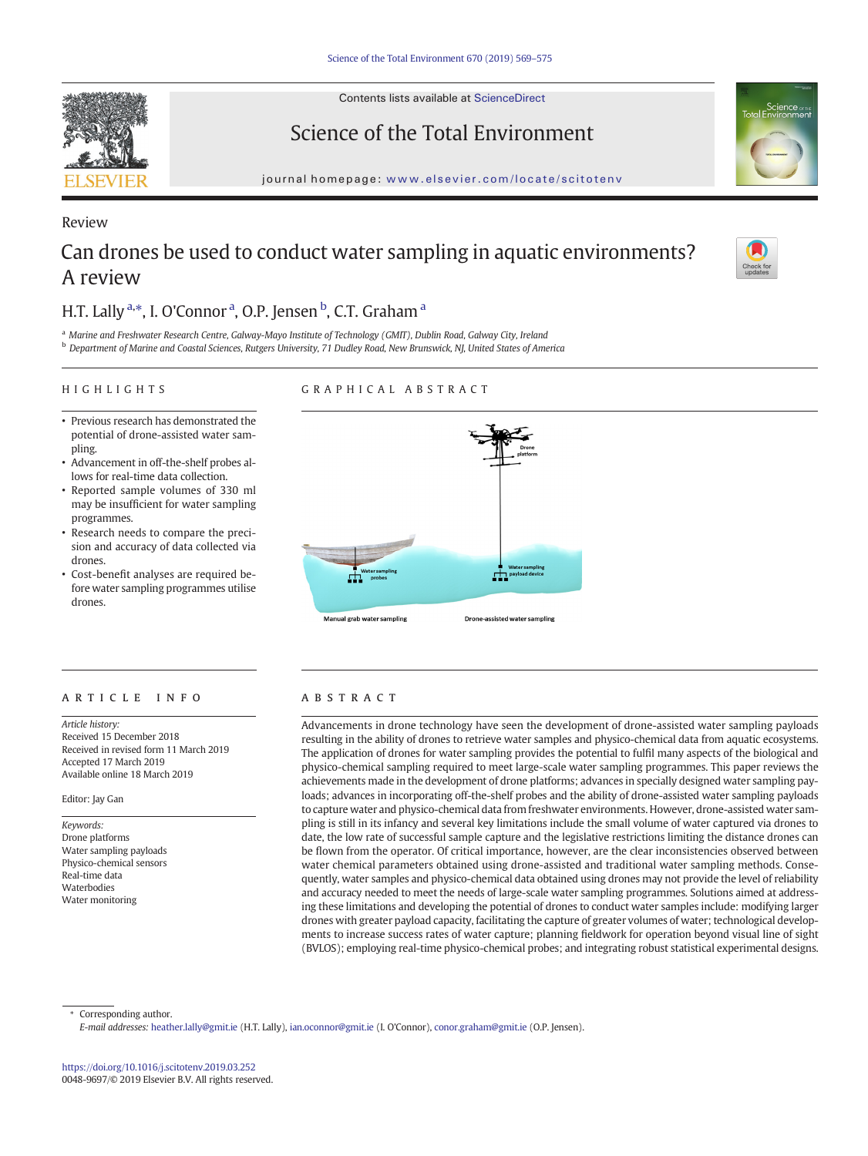Contents lists available at ScienceDirect



Review

Science of the Total Environment



## Can drones be used to conduct water sampling in aquatic environments? A review



## H.T. Lally <sup>a,\*</sup>, I. O'Connor <sup>a</sup>, O.P. Jensen <sup>b</sup>, C.T. Graham <sup>a</sup>

<sup>a</sup> Marine and Freshwater Research Centre, Galway-Mayo Institute of Technology (GMIT), Dublin Road, Galway City, Ireland

**b Department of Marine and Coastal Sciences, Rutgers University, 71 Dudley Road, New Brunswick, NJ, United States of America** 

#### HIGHLIGHTS

#### GRAPHICAL ABSTRACT

- Previous research has demonstrated the potential of drone-assisted water sampling.
- Advancement in off-the-shelf probes allows for real-time data collection.
- Reported sample volumes of 330 ml may be insufficient for water sampling programmes.
- Research needs to compare the precision and accuracy of data collected via drones.
- Cost-benefit analyses are required before water sampling programmes utilise drones.

# Manual grab water sampling **Drone-assisted water sampling**

### article info abstract

Article history: Received 15 December 2018 Received in revised form 11 March 2019 Accepted 17 March 2019 Available online 18 March 2019

#### Editor: Jay Gan

Keywords: Drone platforms Water sampling payloads Physico-chemical sensors Real-time data **Waterbodies** Water monitoring

Advancements in drone technology have seen the development of drone-assisted water sampling payloads resulting in the ability of drones to retrieve water samples and physico-chemical data from aquatic ecosystems. The application of drones for water sampling provides the potential to fulfil many aspects of the biological and physico-chemical sampling required to meet large-scale water sampling programmes. This paper reviews the achievements made in the development of drone platforms; advances in specially designed water sampling payloads; advances in incorporating off-the-shelf probes and the ability of drone-assisted water sampling payloads to capture water and physico-chemical data from freshwater environments. However, drone-assisted water sampling is still in its infancy and several key limitations include the small volume of water captured via drones to date, the low rate of successful sample capture and the legislative restrictions limiting the distance drones can be flown from the operator. Of critical importance, however, are the clear inconsistencies observed between water chemical parameters obtained using drone-assisted and traditional water sampling methods. Consequently, water samples and physico-chemical data obtained using drones may not provide the level of reliability and accuracy needed to meet the needs of large-scale water sampling programmes. Solutions aimed at addressing these limitations and developing the potential of drones to conduct water samples include: modifying larger drones with greater payload capacity, facilitating the capture of greater volumes of water; technological developments to increase success rates of water capture; planning fieldwork for operation beyond visual line of sight (BVLOS); employing real-time physico-chemical probes; and integrating robust statistical experimental designs.

Corresponding author.

E-mail addresses: heather.lally@gmit.ie (H.T. Lally), ian.oconnor@gmit.ie (I. O'Connor), <conor.graham@gmit.ie> (O.P. Jensen).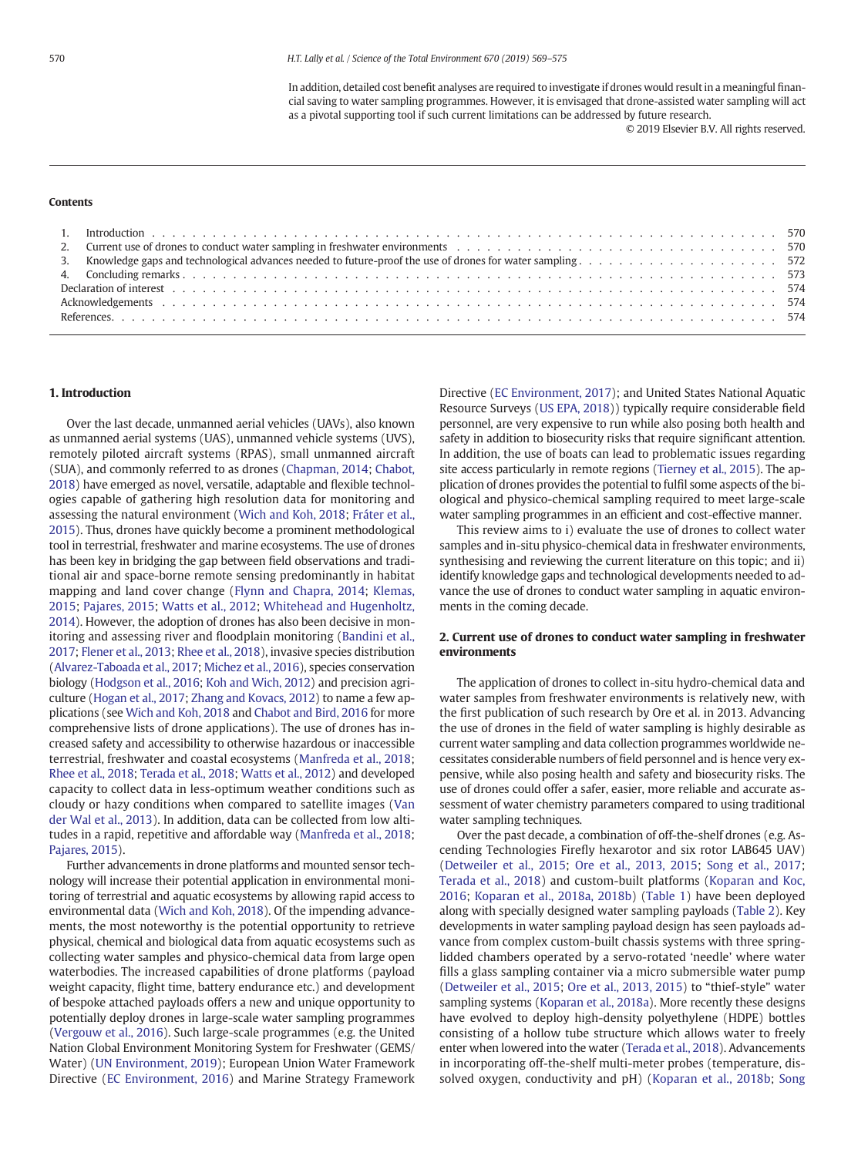In addition, detailed cost benefit analyses are required to investigate if drones would result in a meaningful financial saving to water sampling programmes. However, it is envisaged that drone-assisted water sampling will act as a pivotal supporting tool if such current limitations can be addressed by future research.

© 2019 Elsevier B.V. All rights reserved.

#### **Contents**

#### 1. Introduction

Over the last decade, unmanned aerial vehicles (UAVs), also known as unmanned aerial systems (UAS), unmanned vehicle systems (UVS), remotely piloted aircraft systems (RPAS), small unmanned aircraft (SUA), and commonly referred to as drones ([Chapman, 2014;](#page-5-0) [Chabot,](#page-5-0) [2018\)](#page-5-0) have emerged as novel, versatile, adaptable and flexible technologies capable of gathering high resolution data for monitoring and assessing the natural environment ([Wich and Koh, 2018](#page-6-0); [Fráter et al.,](#page-5-0) [2015\)](#page-5-0). Thus, drones have quickly become a prominent methodological tool in terrestrial, freshwater and marine ecosystems. The use of drones has been key in bridging the gap between field observations and traditional air and space-borne remote sensing predominantly in habitat mapping and land cover change ([Flynn and Chapra, 2014](#page-5-0); [Klemas,](#page-5-0) [2015](#page-5-0); [Pajares, 2015](#page-5-0); [Watts et al., 2012;](#page-6-0) [Whitehead and Hugenholtz,](#page-6-0) [2014\)](#page-6-0). However, the adoption of drones has also been decisive in monitoring and assessing river and floodplain monitoring ([Bandini et al.,](#page-5-0) [2017;](#page-5-0) [Flener et al., 2013](#page-5-0); [Rhee et al., 2018\)](#page-5-0), invasive species distribution [\(Alvarez-Taboada et al., 2017;](#page-5-0) [Michez et al., 2016](#page-5-0)), species conservation biology [\(Hodgson et al., 2016;](#page-5-0) [Koh and Wich, 2012](#page-5-0)) and precision agriculture [\(Hogan et al., 2017;](#page-5-0) [Zhang and Kovacs, 2012](#page-6-0)) to name a few applications (see [Wich and Koh, 2018](#page-6-0) and [Chabot and Bird, 2016](#page-5-0) for more comprehensive lists of drone applications). The use of drones has increased safety and accessibility to otherwise hazardous or inaccessible terrestrial, freshwater and coastal ecosystems [\(Manfreda et al., 2018](#page-5-0); [Rhee et al., 2018;](#page-5-0) [Terada et al., 2018;](#page-5-0) [Watts et al., 2012](#page-6-0)) and developed capacity to collect data in less-optimum weather conditions such as cloudy or hazy conditions when compared to satellite images ([Van](#page-5-0) [der Wal et al., 2013\)](#page-5-0). In addition, data can be collected from low altitudes in a rapid, repetitive and affordable way ([Manfreda et al., 2018](#page-5-0); [Pajares, 2015\)](#page-5-0).

Further advancements in drone platforms and mounted sensor technology will increase their potential application in environmental monitoring of terrestrial and aquatic ecosystems by allowing rapid access to environmental data ([Wich and Koh, 2018\)](#page-6-0). Of the impending advancements, the most noteworthy is the potential opportunity to retrieve physical, chemical and biological data from aquatic ecosystems such as collecting water samples and physico-chemical data from large open waterbodies. The increased capabilities of drone platforms (payload weight capacity, flight time, battery endurance etc.) and development of bespoke attached payloads offers a new and unique opportunity to potentially deploy drones in large-scale water sampling programmes [\(Vergouw et al., 2016\)](#page-5-0). Such large-scale programmes (e.g. the United Nation Global Environment Monitoring System for Freshwater (GEMS/ Water) ([UN Environment, 2019\)](#page-5-0); European Union Water Framework Directive [\(EC Environment, 2016](#page-5-0)) and Marine Strategy Framework Directive ([EC Environment, 2017\)](#page-5-0); and United States National Aquatic Resource Surveys [\(US EPA, 2018\)](#page-5-0)) typically require considerable field personnel, are very expensive to run while also posing both health and safety in addition to biosecurity risks that require significant attention. In addition, the use of boats can lead to problematic issues regarding site access particularly in remote regions [\(Tierney et al., 2015\)](#page-5-0). The application of drones provides the potential to fulfil some aspects of the biological and physico-chemical sampling required to meet large-scale water sampling programmes in an efficient and cost-effective manner.

This review aims to i) evaluate the use of drones to collect water samples and in-situ physico-chemical data in freshwater environments, synthesising and reviewing the current literature on this topic; and ii) identify knowledge gaps and technological developments needed to advance the use of drones to conduct water sampling in aquatic environments in the coming decade.

### 2. Current use of drones to conduct water sampling in freshwater environments

The application of drones to collect in-situ hydro-chemical data and water samples from freshwater environments is relatively new, with the first publication of such research by Ore et al. in 2013. Advancing the use of drones in the field of water sampling is highly desirable as current water sampling and data collection programmes worldwide necessitates considerable numbers of field personnel and is hence very expensive, while also posing health and safety and biosecurity risks. The use of drones could offer a safer, easier, more reliable and accurate assessment of water chemistry parameters compared to using traditional water sampling techniques.

Over the past decade, a combination of off-the-shelf drones (e.g. Ascending Technologies Firefly hexarotor and six rotor LAB645 UAV) [\(Detweiler et al., 2015](#page-5-0); [Ore et al., 2013, 2015;](#page-5-0) [Song et al., 2017](#page-5-0); [Terada et al., 2018](#page-5-0)) and custom-built platforms ([Koparan and Koc,](#page-5-0) [2016](#page-5-0); [Koparan et al., 2018a, 2018b\)](#page-5-0) ([Table 1](#page-2-0)) have been deployed along with specially designed water sampling payloads ([Table 2\)](#page-2-0). Key developments in water sampling payload design has seen payloads advance from complex custom-built chassis systems with three springlidded chambers operated by a servo-rotated 'needle' where water fills a glass sampling container via a micro submersible water pump [\(Detweiler et al., 2015;](#page-5-0) [Ore et al., 2013, 2015\)](#page-5-0) to "thief-style" water sampling systems ([Koparan et al., 2018a](#page-5-0)). More recently these designs have evolved to deploy high-density polyethylene (HDPE) bottles consisting of a hollow tube structure which allows water to freely enter when lowered into the water ([Terada et al., 2018](#page-5-0)). Advancements in incorporating off-the-shelf multi-meter probes (temperature, dissolved oxygen, conductivity and pH) ([Koparan et al., 2018b;](#page-5-0) [Song](#page-5-0)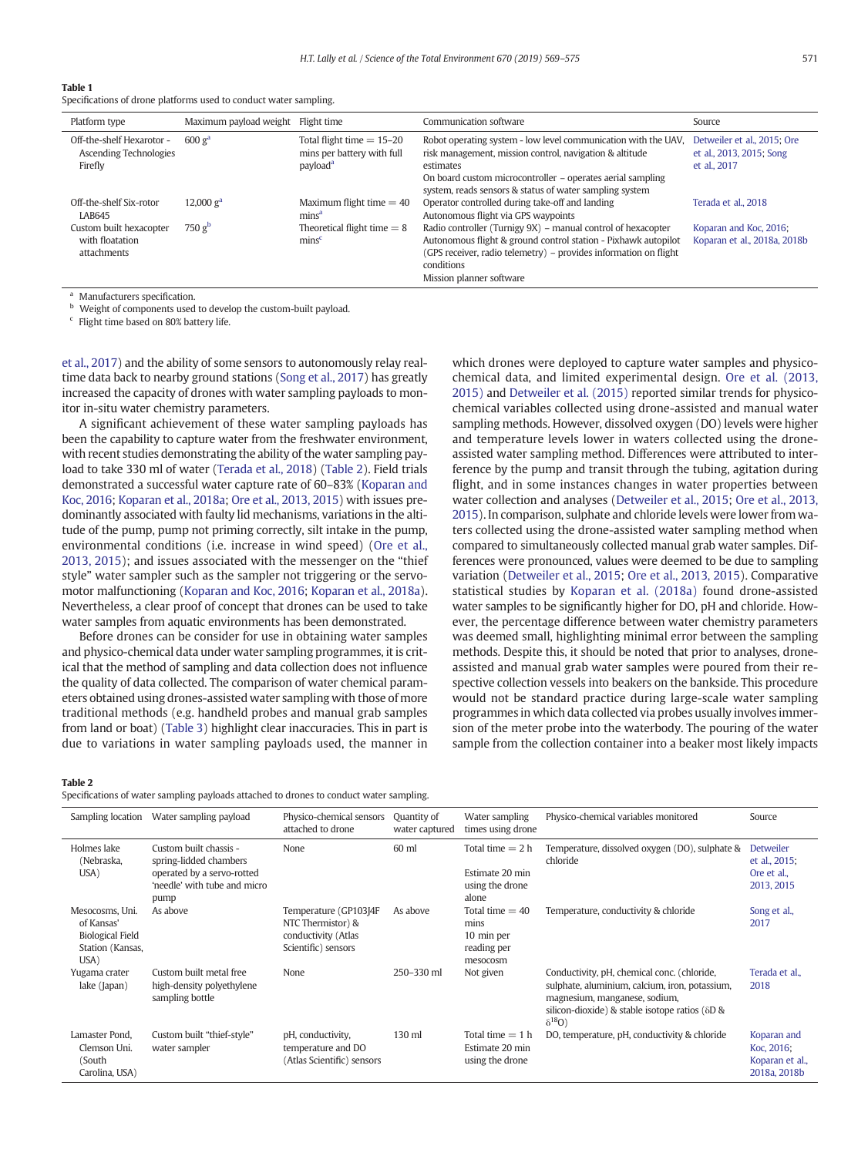<span id="page-2-0"></span>Table 1

Specifications of drone platforms used to conduct water sampling.

| Platform type                                                         | Maximum payload weight Flight time |                                                                                   | Communication software                                                                                                                                                                                                                                          | Source                                                                  |
|-----------------------------------------------------------------------|------------------------------------|-----------------------------------------------------------------------------------|-----------------------------------------------------------------------------------------------------------------------------------------------------------------------------------------------------------------------------------------------------------------|-------------------------------------------------------------------------|
| Off-the-shelf Hexarotor -<br><b>Ascending Technologies</b><br>Firefly | $600 \text{ g}^{\text{a}}$         | Total flight time $= 15-20$<br>mins per battery with full<br>payload <sup>a</sup> | Robot operating system - low level communication with the UAV,<br>risk management, mission control, navigation & altitude<br>estimates<br>On board custom microcontroller – operates aerial sampling<br>system, reads sensors & status of water sampling system | Detweiler et al., 2015; Ore<br>et al., 2013, 2015; Song<br>et al., 2017 |
| Off-the-shelf Six-rotor<br>LAB645                                     | $12,000$ $ga$                      | Maximum flight time $=$ 40<br>mins <sup>a</sup>                                   | Operator controlled during take-off and landing<br>Autonomous flight via GPS waypoints                                                                                                                                                                          | Terada et al., 2018                                                     |
| Custom built hexacopter<br>with floatation<br>attachments             | $750g^b$                           | Theoretical flight time $= 8$<br>$\text{mins}^c$                                  | Radio controller (Turnigy 9X) – manual control of hexacopter<br>Autonomous flight & ground control station - Pixhawk autopilot<br>(GPS receiver, radio telemetry) – provides information on flight<br>conditions<br>Mission planner software                    | Koparan and Koc, 2016;<br>Koparan et al., 2018a, 2018b                  |

Manufacturers specification.

<sup>b</sup> Weight of components used to develop the custom-built payload.

Flight time based on 80% battery life.

[et al., 2017\)](#page-5-0) and the ability of some sensors to autonomously relay realtime data back to nearby ground stations [\(Song et al., 2017\)](#page-5-0) has greatly increased the capacity of drones with water sampling payloads to monitor in-situ water chemistry parameters.

A significant achievement of these water sampling payloads has been the capability to capture water from the freshwater environment, with recent studies demonstrating the ability of the water sampling payload to take 330 ml of water [\(Terada et al., 2018](#page-5-0)) (Table 2). Field trials demonstrated a successful water capture rate of 60–83% [\(Koparan and](#page-5-0) [Koc, 2016;](#page-5-0) [Koparan et al., 2018a](#page-5-0); [Ore et al., 2013, 2015](#page-5-0)) with issues predominantly associated with faulty lid mechanisms, variations in the altitude of the pump, pump not priming correctly, silt intake in the pump, environmental conditions (i.e. increase in wind speed) ([Ore et al.,](#page-5-0) [2013, 2015](#page-5-0)); and issues associated with the messenger on the "thief style" water sampler such as the sampler not triggering or the servomotor malfunctioning [\(Koparan and Koc, 2016;](#page-5-0) [Koparan et al., 2018a](#page-5-0)). Nevertheless, a clear proof of concept that drones can be used to take water samples from aquatic environments has been demonstrated.

Before drones can be consider for use in obtaining water samples and physico-chemical data under water sampling programmes, it is critical that the method of sampling and data collection does not influence the quality of data collected. The comparison of water chemical parameters obtained using drones-assisted water sampling with those of more traditional methods (e.g. handheld probes and manual grab samples from land or boat) ([Table 3](#page-3-0)) highlight clear inaccuracies. This in part is due to variations in water sampling payloads used, the manner in which drones were deployed to capture water samples and physicochemical data, and limited experimental design. [Ore et al. \(2013,](#page-5-0) [2015\)](#page-5-0) and [Detweiler et al. \(2015\)](#page-5-0) reported similar trends for physicochemical variables collected using drone-assisted and manual water sampling methods. However, dissolved oxygen (DO) levels were higher and temperature levels lower in waters collected using the droneassisted water sampling method. Differences were attributed to interference by the pump and transit through the tubing, agitation during flight, and in some instances changes in water properties between water collection and analyses ([Detweiler et al., 2015](#page-5-0); [Ore et al., 2013,](#page-5-0) [2015](#page-5-0)). In comparison, sulphate and chloride levels were lower from waters collected using the drone-assisted water sampling method when compared to simultaneously collected manual grab water samples. Differences were pronounced, values were deemed to be due to sampling variation ([Detweiler et al., 2015;](#page-5-0) [Ore et al., 2013, 2015\)](#page-5-0). Comparative statistical studies by [Koparan et al. \(2018a\)](#page-5-0) found drone-assisted water samples to be significantly higher for DO, pH and chloride. However, the percentage difference between water chemistry parameters was deemed small, highlighting minimal error between the sampling methods. Despite this, it should be noted that prior to analyses, droneassisted and manual grab water samples were poured from their respective collection vessels into beakers on the bankside. This procedure would not be standard practice during large-scale water sampling programmes in which data collected via probes usually involves immersion of the meter probe into the waterbody. The pouring of the water sample from the collection container into a beaker most likely impacts

#### Table 2

Specifications of water sampling payloads attached to drones to conduct water sampling.

| Sampling location                                                                    | Water sampling payload                                                                                                 | Physico-chemical sensors<br>attached to drone                                            | Quantity of<br>water captured | Water sampling<br>times using drone                                | Physico-chemical variables monitored                                                                                                                                                                        | Source                                                         |
|--------------------------------------------------------------------------------------|------------------------------------------------------------------------------------------------------------------------|------------------------------------------------------------------------------------------|-------------------------------|--------------------------------------------------------------------|-------------------------------------------------------------------------------------------------------------------------------------------------------------------------------------------------------------|----------------------------------------------------------------|
| Holmes lake<br>(Nebraska,<br>USA)                                                    | Custom built chassis -<br>spring-lidded chambers<br>operated by a servo-rotted<br>'needle' with tube and micro<br>pump | None                                                                                     | 60 ml                         | Total time $= 2 h$<br>Estimate 20 min<br>using the drone<br>alone  | Temperature, dissolved oxygen (DO), sulphate &<br>chloride                                                                                                                                                  | <b>Detweiler</b><br>et al., 2015;<br>Ore et al.,<br>2013, 2015 |
| Mesocosms, Uni.<br>of Kansas'<br><b>Biological Field</b><br>Station (Kansas,<br>USA) | As above                                                                                                               | Temperature (GP103J4F<br>NTC Thermistor) &<br>conductivity (Atlas<br>Scientific) sensors | As above                      | Total time $=$ 40<br>mins<br>10 min per<br>reading per<br>mesocosm | Temperature, conductivity & chloride                                                                                                                                                                        | Song et al.,<br>2017                                           |
| Yugama crater<br>lake (Japan)                                                        | Custom built metal free<br>high-density polyethylene<br>sampling bottle                                                | None                                                                                     | 250-330 ml                    | Not given                                                          | Conductivity, pH, chemical conc. (chloride,<br>sulphate, aluminium, calcium, iron, potassium,<br>magnesium, manganese, sodium,<br>silicon-dioxide) & stable isotope ratios ( $\delta D$ &<br>$\delta^{18}O$ | Terada et al<br>2018                                           |
| Lamaster Pond.<br>Clemson Uni.<br>(South<br>Carolina, USA)                           | Custom built "thief-style"<br>water sampler                                                                            | pH, conductivity,<br>temperature and DO<br>(Atlas Scientific) sensors                    | 130 ml                        | Total time $= 1 h$<br>Estimate 20 min<br>using the drone           | DO, temperature, pH, conductivity & chloride                                                                                                                                                                | Koparan and<br>Koc, 2016;<br>Koparan et al.,<br>2018a, 2018b   |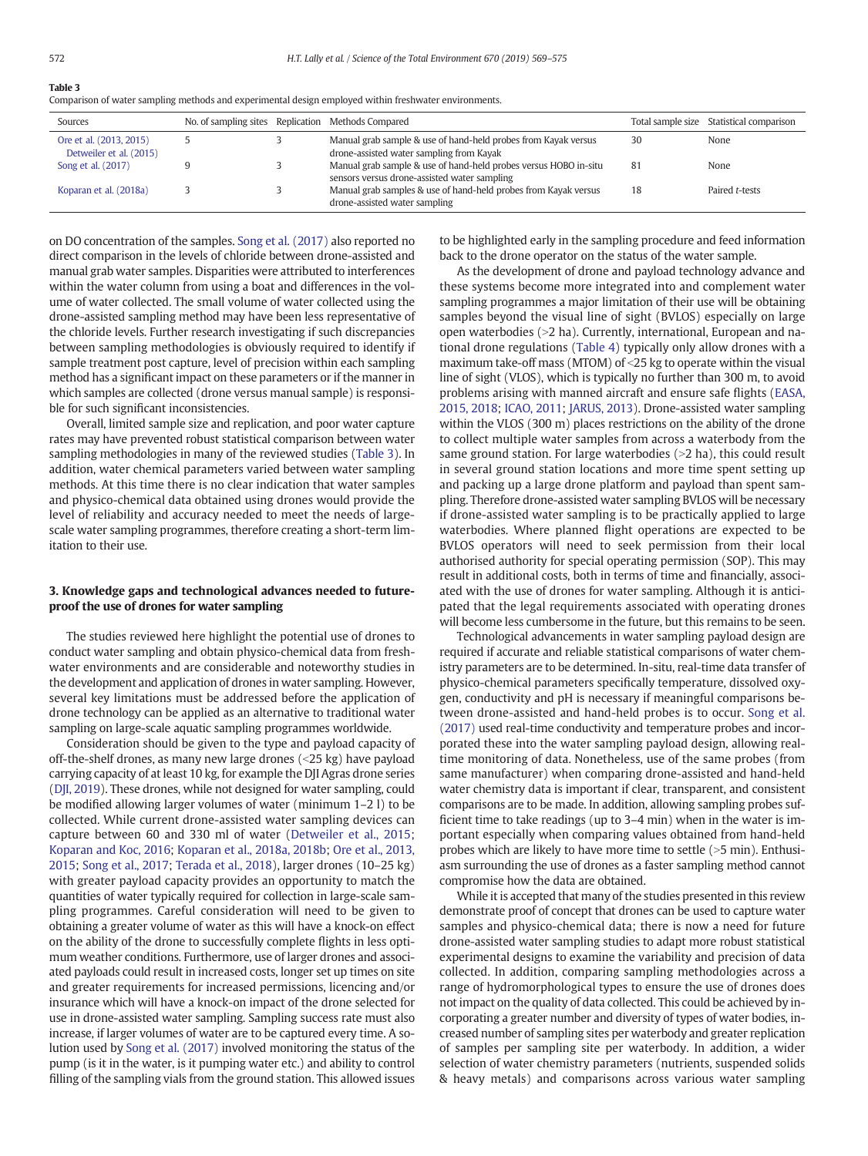<span id="page-3-0"></span>Table 3

|  |  |  | Comparison of water sampling methods and experimental design employed within freshwater environments. |
|--|--|--|-------------------------------------------------------------------------------------------------------|
|  |  |  |                                                                                                       |

| Sources                                            | No. of sampling sites Replication Methods Compared |                                                                                                                  |    | Total sample size Statistical comparison |
|----------------------------------------------------|----------------------------------------------------|------------------------------------------------------------------------------------------------------------------|----|------------------------------------------|
| Ore et al. (2013, 2015)<br>Detweiler et al. (2015) |                                                    | Manual grab sample & use of hand-held probes from Kayak versus<br>drone-assisted water sampling from Kayak       | 30 | None                                     |
| Song et al. (2017)                                 |                                                    | Manual grab sample & use of hand-held probes versus HOBO in-situ<br>sensors versus drone-assisted water sampling | 81 | None                                     |
| Koparan et al. (2018a)                             |                                                    | Manual grab samples & use of hand-held probes from Kayak versus<br>drone-assisted water sampling                 | 18 | Paired t-tests                           |

on DO concentration of the samples. [Song et al. \(2017\)](#page-5-0) also reported no direct comparison in the levels of chloride between drone-assisted and manual grab water samples. Disparities were attributed to interferences within the water column from using a boat and differences in the volume of water collected. The small volume of water collected using the drone-assisted sampling method may have been less representative of the chloride levels. Further research investigating if such discrepancies between sampling methodologies is obviously required to identify if sample treatment post capture, level of precision within each sampling method has a significant impact on these parameters or if the manner in which samples are collected (drone versus manual sample) is responsible for such significant inconsistencies.

Overall, limited sample size and replication, and poor water capture rates may have prevented robust statistical comparison between water sampling methodologies in many of the reviewed studies (Table 3). In addition, water chemical parameters varied between water sampling methods. At this time there is no clear indication that water samples and physico-chemical data obtained using drones would provide the level of reliability and accuracy needed to meet the needs of largescale water sampling programmes, therefore creating a short-term limitation to their use.

#### 3. Knowledge gaps and technological advances needed to futureproof the use of drones for water sampling

The studies reviewed here highlight the potential use of drones to conduct water sampling and obtain physico-chemical data from freshwater environments and are considerable and noteworthy studies in the development and application of drones in water sampling. However, several key limitations must be addressed before the application of drone technology can be applied as an alternative to traditional water sampling on large-scale aquatic sampling programmes worldwide.

Consideration should be given to the type and payload capacity of off-the-shelf drones, as many new large drones  $(<25 \text{ kg})$  have payload carrying capacity of at least 10 kg, for example the DJI Agras drone series [\(DJI, 2019\)](#page-5-0). These drones, while not designed for water sampling, could be modified allowing larger volumes of water (minimum 1–2 l) to be collected. While current drone-assisted water sampling devices can capture between 60 and 330 ml of water ([Detweiler et al., 2015](#page-5-0); [Koparan and Koc, 2016;](#page-5-0) [Koparan et al., 2018a, 2018b;](#page-5-0) [Ore et al., 2013,](#page-5-0) [2015;](#page-5-0) [Song et al., 2017;](#page-5-0) [Terada et al., 2018\)](#page-5-0), larger drones (10–25 kg) with greater payload capacity provides an opportunity to match the quantities of water typically required for collection in large-scale sampling programmes. Careful consideration will need to be given to obtaining a greater volume of water as this will have a knock-on effect on the ability of the drone to successfully complete flights in less optimum weather conditions. Furthermore, use of larger drones and associated payloads could result in increased costs, longer set up times on site and greater requirements for increased permissions, licencing and/or insurance which will have a knock-on impact of the drone selected for use in drone-assisted water sampling. Sampling success rate must also increase, if larger volumes of water are to be captured every time. A solution used by [Song et al. \(2017\)](#page-5-0) involved monitoring the status of the pump (is it in the water, is it pumping water etc.) and ability to control filling of the sampling vials from the ground station. This allowed issues to be highlighted early in the sampling procedure and feed information back to the drone operator on the status of the water sample.

As the development of drone and payload technology advance and these systems become more integrated into and complement water sampling programmes a major limitation of their use will be obtaining samples beyond the visual line of sight (BVLOS) especially on large open waterbodies (>2 ha). Currently, international, European and national drone regulations ([Table 4](#page-4-0)) typically only allow drones with a maximum take-off mass (MTOM) of  $<$ 25 kg to operate within the visual line of sight (VLOS), which is typically no further than 300 m, to avoid problems arising with manned aircraft and ensure safe flights ([EASA,](#page-5-0) [2015, 2018;](#page-5-0) [ICAO, 2011;](#page-5-0) [JARUS, 2013](#page-5-0)). Drone-assisted water sampling within the VLOS (300 m) places restrictions on the ability of the drone to collect multiple water samples from across a waterbody from the same ground station. For large waterbodies  $(>2$  ha), this could result in several ground station locations and more time spent setting up and packing up a large drone platform and payload than spent sampling. Therefore drone-assisted water sampling BVLOS will be necessary if drone-assisted water sampling is to be practically applied to large waterbodies. Where planned flight operations are expected to be BVLOS operators will need to seek permission from their local authorised authority for special operating permission (SOP). This may result in additional costs, both in terms of time and financially, associated with the use of drones for water sampling. Although it is anticipated that the legal requirements associated with operating drones will become less cumbersome in the future, but this remains to be seen.

Technological advancements in water sampling payload design are required if accurate and reliable statistical comparisons of water chemistry parameters are to be determined. In-situ, real-time data transfer of physico-chemical parameters specifically temperature, dissolved oxygen, conductivity and pH is necessary if meaningful comparisons between drone-assisted and hand-held probes is to occur. [Song et al.](#page-5-0) [\(2017\)](#page-5-0) used real-time conductivity and temperature probes and incorporated these into the water sampling payload design, allowing realtime monitoring of data. Nonetheless, use of the same probes (from same manufacturer) when comparing drone-assisted and hand-held water chemistry data is important if clear, transparent, and consistent comparisons are to be made. In addition, allowing sampling probes sufficient time to take readings (up to 3–4 min) when in the water is important especially when comparing values obtained from hand-held probes which are likely to have more time to settle  $(>5$  min). Enthusiasm surrounding the use of drones as a faster sampling method cannot compromise how the data are obtained.

While it is accepted that many of the studies presented in this review demonstrate proof of concept that drones can be used to capture water samples and physico-chemical data; there is now a need for future drone-assisted water sampling studies to adapt more robust statistical experimental designs to examine the variability and precision of data collected. In addition, comparing sampling methodologies across a range of hydromorphological types to ensure the use of drones does not impact on the quality of data collected. This could be achieved by incorporating a greater number and diversity of types of water bodies, increased number of sampling sites per waterbody and greater replication of samples per sampling site per waterbody. In addition, a wider selection of water chemistry parameters (nutrients, suspended solids & heavy metals) and comparisons across various water sampling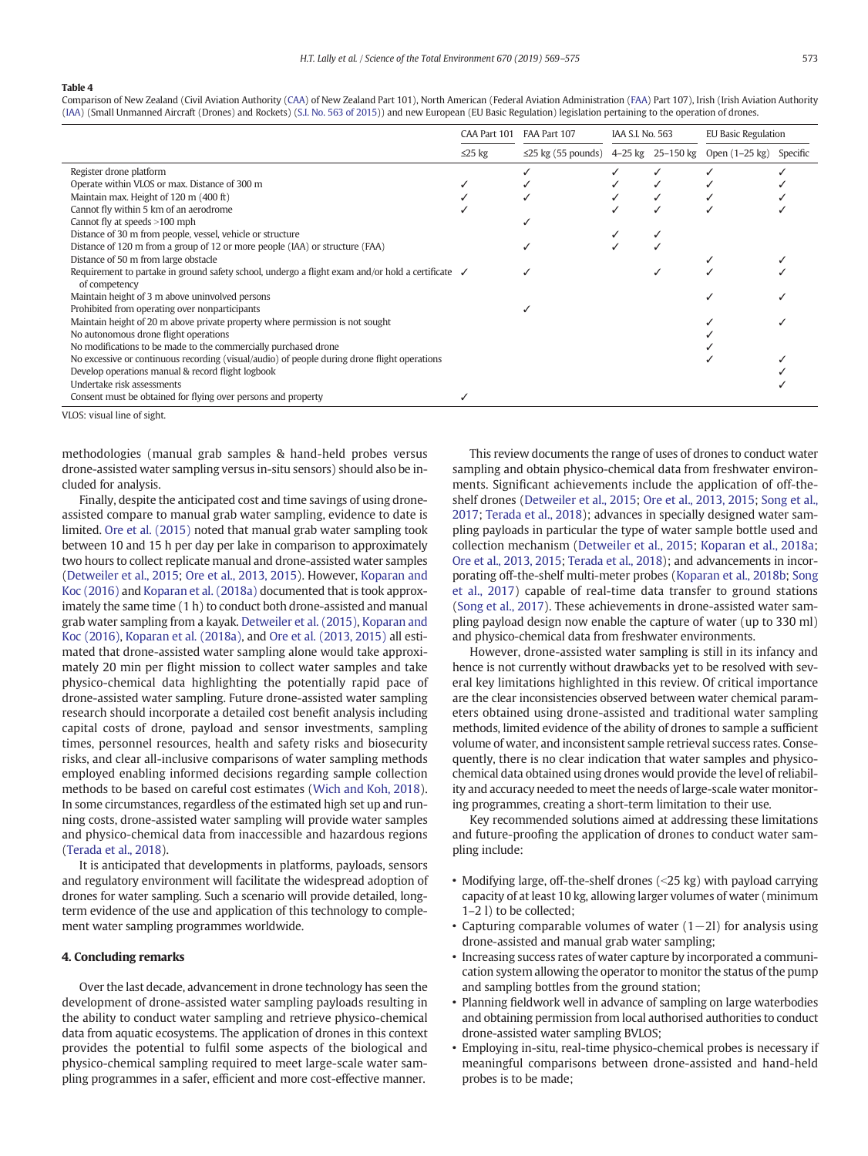#### <span id="page-4-0"></span>Table 4

Comparison of New Zealand (Civil Aviation Authority [\(CAA](#page-5-0)) of New Zealand Part 101), North American (Federal Aviation Administration [\(FAA](#page-5-0)) Part 107), Irish (Irish Aviation Authority [\(IAA](#page-5-0)) (Small Unmanned Aircraft (Drones) and Rockets) [\(S.I. No. 563 of 2015\)](#page-5-0)) and new European (EU Basic Regulation) legislation pertaining to the operation of drones.

|                                                                                                                               | CAA Part 101 | FAA Part 107                                                       | IAA S.I. No. 563 |  | <b>EU Basic Regulation</b> |  |
|-------------------------------------------------------------------------------------------------------------------------------|--------------|--------------------------------------------------------------------|------------------|--|----------------------------|--|
|                                                                                                                               | $\leq$ 25 kg | $\leq$ 25 kg (55 pounds) 4-25 kg 25-150 kg Open (1-25 kg) Specific |                  |  |                            |  |
| Register drone platform                                                                                                       |              |                                                                    |                  |  |                            |  |
| Operate within VLOS or max. Distance of 300 m                                                                                 |              |                                                                    |                  |  |                            |  |
| Maintain max. Height of 120 m (400 ft)                                                                                        |              |                                                                    |                  |  |                            |  |
| Cannot fly within 5 km of an aerodrome                                                                                        |              |                                                                    |                  |  |                            |  |
| Cannot fly at speeds $>100$ mph                                                                                               |              |                                                                    |                  |  |                            |  |
| Distance of 30 m from people, vessel, vehicle or structure                                                                    |              |                                                                    |                  |  |                            |  |
| Distance of 120 m from a group of 12 or more people (IAA) or structure (FAA)                                                  |              |                                                                    |                  |  |                            |  |
| Distance of 50 m from large obstacle                                                                                          |              |                                                                    |                  |  |                            |  |
| Requirement to partake in ground safety school, undergo a flight exam and/or hold a certificate $\checkmark$<br>of competency |              |                                                                    |                  |  |                            |  |
| Maintain height of 3 m above uninvolved persons                                                                               |              |                                                                    |                  |  |                            |  |
| Prohibited from operating over nonparticipants                                                                                |              |                                                                    |                  |  |                            |  |
| Maintain height of 20 m above private property where permission is not sought                                                 |              |                                                                    |                  |  |                            |  |
| No autonomous drone flight operations                                                                                         |              |                                                                    |                  |  |                            |  |
| No modifications to be made to the commercially purchased drone                                                               |              |                                                                    |                  |  |                            |  |
| No excessive or continuous recording (visual/audio) of people during drone flight operations                                  |              |                                                                    |                  |  |                            |  |
| Develop operations manual & record flight logbook                                                                             |              |                                                                    |                  |  |                            |  |
| Undertake risk assessments                                                                                                    |              |                                                                    |                  |  |                            |  |
| Consent must be obtained for flying over persons and property                                                                 |              |                                                                    |                  |  |                            |  |
| VLOS: visual line of sight.                                                                                                   |              |                                                                    |                  |  |                            |  |

methodologies (manual grab samples & hand-held probes versus drone-assisted water sampling versus in-situ sensors) should also be included for analysis.

Finally, despite the anticipated cost and time savings of using droneassisted compare to manual grab water sampling, evidence to date is limited. [Ore et al. \(2015\)](#page-5-0) noted that manual grab water sampling took between 10 and 15 h per day per lake in comparison to approximately two hours to collect replicate manual and drone-assisted water samples [\(Detweiler et al., 2015;](#page-5-0) [Ore et al., 2013, 2015\)](#page-5-0). However, [Koparan and](#page-5-0) [Koc \(2016\)](#page-5-0) and [Koparan et al. \(2018a\)](#page-5-0) documented that is took approximately the same time (1 h) to conduct both drone-assisted and manual grab water sampling from a kayak. [Detweiler et al. \(2015\)](#page-5-0), [Koparan and](#page-5-0) [Koc \(2016\)](#page-5-0), [Koparan et al. \(2018a\),](#page-5-0) and [Ore et al. \(2013, 2015\)](#page-5-0) all estimated that drone-assisted water sampling alone would take approximately 20 min per flight mission to collect water samples and take physico-chemical data highlighting the potentially rapid pace of drone-assisted water sampling. Future drone-assisted water sampling research should incorporate a detailed cost benefit analysis including capital costs of drone, payload and sensor investments, sampling times, personnel resources, health and safety risks and biosecurity risks, and clear all-inclusive comparisons of water sampling methods employed enabling informed decisions regarding sample collection methods to be based on careful cost estimates ([Wich and Koh, 2018](#page-6-0)). In some circumstances, regardless of the estimated high set up and running costs, drone-assisted water sampling will provide water samples and physico-chemical data from inaccessible and hazardous regions [\(Terada et al., 2018\)](#page-5-0).

It is anticipated that developments in platforms, payloads, sensors and regulatory environment will facilitate the widespread adoption of drones for water sampling. Such a scenario will provide detailed, longterm evidence of the use and application of this technology to complement water sampling programmes worldwide.

#### 4. Concluding remarks

Over the last decade, advancement in drone technology has seen the development of drone-assisted water sampling payloads resulting in the ability to conduct water sampling and retrieve physico-chemical data from aquatic ecosystems. The application of drones in this context provides the potential to fulfil some aspects of the biological and physico-chemical sampling required to meet large-scale water sampling programmes in a safer, efficient and more cost-effective manner.

This review documents the range of uses of drones to conduct water sampling and obtain physico-chemical data from freshwater environments. Significant achievements include the application of off-theshelf drones [\(Detweiler et al., 2015;](#page-5-0) [Ore et al., 2013, 2015;](#page-5-0) [Song et al.,](#page-5-0) [2017;](#page-5-0) [Terada et al., 2018\)](#page-5-0); advances in specially designed water sampling payloads in particular the type of water sample bottle used and collection mechanism ([Detweiler et al., 2015;](#page-5-0) [Koparan et al., 2018a;](#page-5-0) [Ore et al., 2013, 2015](#page-5-0); [Terada et al., 2018\)](#page-5-0); and advancements in incorporating off-the-shelf multi-meter probes [\(Koparan et al., 2018b](#page-5-0); [Song](#page-5-0) [et al., 2017](#page-5-0)) capable of real-time data transfer to ground stations [\(Song et al., 2017](#page-5-0)). These achievements in drone-assisted water sampling payload design now enable the capture of water (up to 330 ml) and physico-chemical data from freshwater environments.

However, drone-assisted water sampling is still in its infancy and hence is not currently without drawbacks yet to be resolved with several key limitations highlighted in this review. Of critical importance are the clear inconsistencies observed between water chemical parameters obtained using drone-assisted and traditional water sampling methods, limited evidence of the ability of drones to sample a sufficient volume of water, and inconsistent sample retrieval success rates. Consequently, there is no clear indication that water samples and physicochemical data obtained using drones would provide the level of reliability and accuracy needed to meet the needs of large-scale water monitoring programmes, creating a short-term limitation to their use.

Key recommended solutions aimed at addressing these limitations and future-proofing the application of drones to conduct water sampling include:

- Modifying large, off-the-shelf drones  $(\leq 25 \text{ kg})$  with payload carrying capacity of at least 10 kg, allowing larger volumes of water (minimum 1–2 l) to be collected;
- Capturing comparable volumes of water (1−2l) for analysis using drone-assisted and manual grab water sampling;
- Increasing success rates of water capture by incorporated a communication system allowing the operator to monitor the status of the pump and sampling bottles from the ground station;
- Planning fieldwork well in advance of sampling on large waterbodies and obtaining permission from local authorised authorities to conduct drone-assisted water sampling BVLOS;
- Employing in-situ, real-time physico-chemical probes is necessary if meaningful comparisons between drone-assisted and hand-held probes is to be made;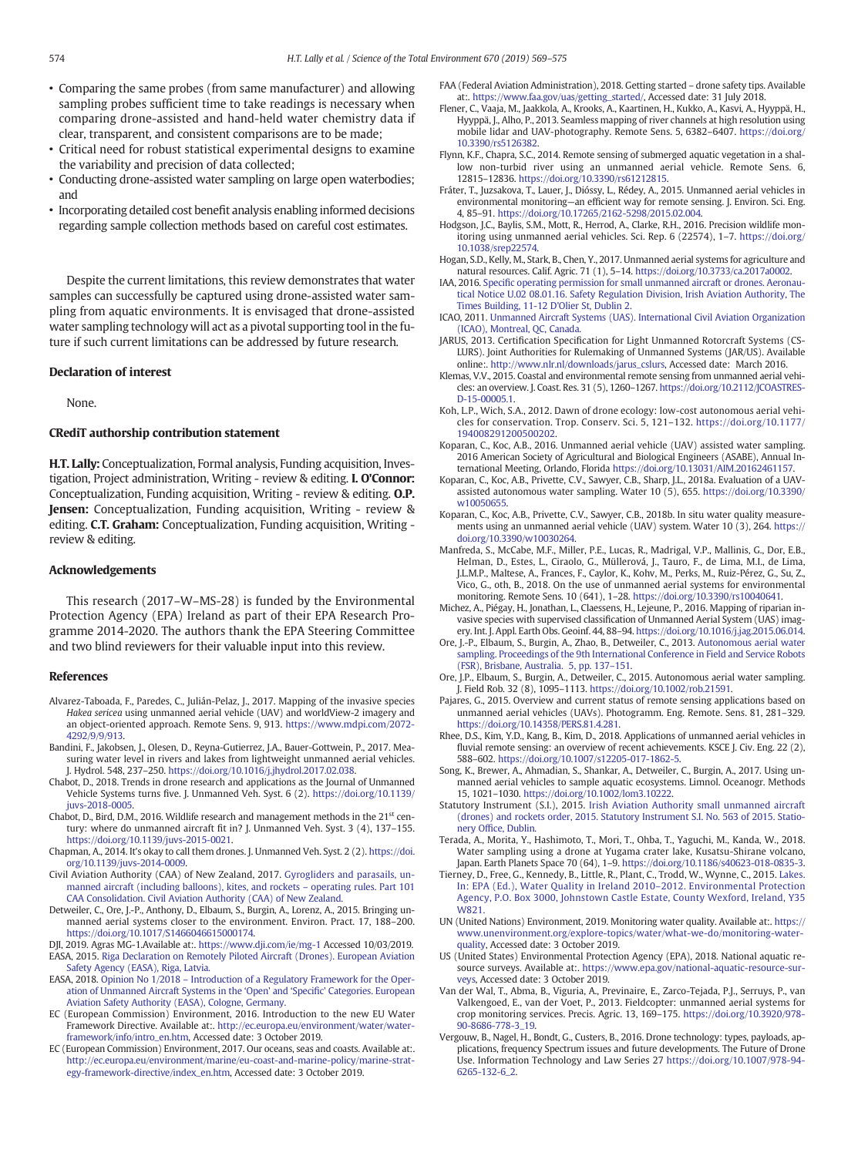- <span id="page-5-0"></span>• Comparing the same probes (from same manufacturer) and allowing sampling probes sufficient time to take readings is necessary when comparing drone-assisted and hand-held water chemistry data if clear, transparent, and consistent comparisons are to be made;
- Critical need for robust statistical experimental designs to examine the variability and precision of data collected;
- Conducting drone-assisted water sampling on large open waterbodies; and
- Incorporating detailed cost benefit analysis enabling informed decisions regarding sample collection methods based on careful cost estimates.

Despite the current limitations, this review demonstrates that water samples can successfully be captured using drone-assisted water sampling from aquatic environments. It is envisaged that drone-assisted water sampling technology will act as a pivotal supporting tool in the future if such current limitations can be addressed by future research.

#### Declaration of interest

None.

### CRediT authorship contribution statement

H.T. Lally: Conceptualization, Formal analysis, Funding acquisition, Investigation, Project administration, Writing - review & editing. **I. O'Connor:** Conceptualization, Funding acquisition, Writing - review & editing. O.P. Jensen: Conceptualization, Funding acquisition, Writing - review & editing. **C.T. Graham:** Conceptualization, Funding acquisition, Writing review & editing.

#### Acknowledgements

This research (2017–W–MS-28) is funded by the Environmental Protection Agency (EPA) Ireland as part of their EPA Research Programme 2014-2020. The authors thank the EPA Steering Committee and two blind reviewers for their valuable input into this review.

#### References

- Alvarez-Taboada, F., Paredes, C., Julián-Pelaz, J., 2017. Mapping of the invasive species Hakea sericea using unmanned aerial vehicle (UAV) and worldView-2 imagery and an object-oriented approach. Remote Sens. 9, 913. [https://www.mdpi.com/2072-](https://www.mdpi.com/2072-4292/9/9/913) [4292/9/9/913](https://www.mdpi.com/2072-4292/9/9/913).
- Bandini, F., Jakobsen, J., Olesen, D., Reyna-Gutierrez, J.A., Bauer-Gottwein, P., 2017. Measuring water level in rivers and lakes from lightweight unmanned aerial vehicles. J. Hydrol. 548, 237–250. <https://doi.org/10.1016/j.jhydrol.2017.02.038>.
- Chabot, D., 2018. Trends in drone research and applications as the Journal of Unmanned Vehicle Systems turns five. J. Unmanned Veh. Syst. 6 (2). [https://doi.org/10.1139/](https://doi.org/10.1139/juvs-2018-0005) [juvs-2018-0005.](https://doi.org/10.1139/juvs-2018-0005)
- Chabot, D., Bird, D.M., 2016. Wildlife research and management methods in the 21<sup>st</sup> century: where do unmanned aircraft fit in? J. Unmanned Veh. Syst. 3 (4), 137–155. [https://doi.org/10.1139/juvs-2015-0021.](https://doi.org/10.1139/juvs-2015-0021)
- Chapman, A., 2014. It's okay to call them drones. J. Unmanned Veh. Syst. 2 (2). [https://doi.](https://doi.org/10.1139/juvs-2014-0009) [org/10.1139/juvs-2014-0009](https://doi.org/10.1139/juvs-2014-0009).
- Civil Aviation Authority (CAA) of New Zealand, 2017. [Gyrogliders and parasails, un](http://refhub.elsevier.com/S0048-9697(19)31244-6/rf0025)[manned aircraft \(including balloons\), kites, and rockets](http://refhub.elsevier.com/S0048-9697(19)31244-6/rf0025) – operating rules. Part 101 [CAA Consolidation. Civil Aviation Authority \(CAA\) of New Zealand](http://refhub.elsevier.com/S0048-9697(19)31244-6/rf0025).
- Detweiler, C., Ore, J.-P., Anthony, D., Elbaum, S., Burgin, A., Lorenz, A., 2015. Bringing unmanned aerial systems closer to the environment. Environ. Pract. 17, 188–200. [https://doi.org/10.1017/S1466046615000174.](https://doi.org/10.1017/S1466046615000174)
- DJI, 2019. Agras MG-1.Available at:. <https://www.dji.com/ie/mg-1> Accessed 10/03/2019. EASA, 2015. [Riga Declaration on Remotely Piloted Aircraft \(Drones\). European Aviation](http://refhub.elsevier.com/S0048-9697(19)31244-6/rf0040) [Safety Agency \(EASA\), Riga, Latvia.](http://refhub.elsevier.com/S0048-9697(19)31244-6/rf0040)
- EASA, 2018. Opinion No 1/2018 [Introduction of a Regulatory Framework for the Oper](http://refhub.elsevier.com/S0048-9697(19)31244-6/rf0045)[ation of Unmanned Aircraft Systems in the](http://refhub.elsevier.com/S0048-9697(19)31244-6/rf0045) 'Open' and 'Specific' Categories. European [Aviation Safety Authority \(EASA\), Cologne, Germany](http://refhub.elsevier.com/S0048-9697(19)31244-6/rf0045).
- EC (European Commission) Environment, 2016. Introduction to the new EU Water Framework Directive. Available at:. [http://ec.europa.eu/environment/water/water](http://ec.europa.eu/environment/water/water-framework/info/intro_en.htm)[framework/info/intro\\_en.htm](http://ec.europa.eu/environment/water/water-framework/info/intro_en.htm), Accessed date: 3 October 2019.
- EC (European Commission) Environment, 2017. Our oceans, seas and coasts. Available at:. [http://ec.europa.eu/environment/marine/eu-coast-and-marine-policy/marine-strat](http://ec.europa.eu/environment/marine/eu-coast-and-marine-policy/marine-strategy-framework-directive/index_en.htm)[egy-framework-directive/index\\_en.htm,](http://ec.europa.eu/environment/marine/eu-coast-and-marine-policy/marine-strategy-framework-directive/index_en.htm) Accessed date: 3 October 2019.
- FAA (Federal Aviation Administration), 2018. Getting started drone safety tips. Available at:. [https://www.faa.gov/uas/getting\\_started/,](https://www.faa.gov/uas/getting_started/) Accessed date: 31 July 2018.
- Flener, C., Vaaja, M., Jaakkola, A., Krooks, A., Kaartinen, H., Kukko, A., Kasvi, A., Hyyppä, H., Hyyppä, J., Alho, P., 2013. Seamless mapping of river channels at high resolution using mobile lidar and UAV-photography. Remote Sens. 5, 6382–6407. [https://doi.org/](https://doi.org/10.3390/rs5126382) [10.3390/rs5126382.](https://doi.org/10.3390/rs5126382)
- Flynn, K.F., Chapra, S.C., 2014. Remote sensing of submerged aquatic vegetation in a shallow non-turbid river using an unmanned aerial vehicle. Remote Sens. 6, 12815–12836. [https://doi.org/10.3390/rs61212815.](https://doi.org/10.3390/rs61212815)
- Fráter, T., Juzsakova, T., Lauer, J., Dióssy, L., Rédey, A., 2015. Unmanned aerial vehicles in environmental monitoring—an efficient way for remote sensing. J. Environ. Sci. Eng. 4, 85–91. [https://doi.org/10.17265/2162-5298/2015.02.004.](https://doi.org/10.17265/2162-5298/2015.02.004)
- Hodgson, J.C., Baylis, S.M., Mott, R., Herrod, A., Clarke, R.H., 2016. Precision wildlife monitoring using unmanned aerial vehicles. Sci. Rep. 6 (22574), 1–7. [https://doi.org/](https://doi.org/10.1038/srep22574) [10.1038/srep22574](https://doi.org/10.1038/srep22574).
- Hogan, S.D., Kelly, M., Stark, B., Chen, Y., 2017. Unmanned aerial systems for agriculture and natural resources. Calif. Agric. 71 (1), 5–14. <https://doi.org/10.3733/ca.2017a0002>.
- IAA, 2016. Specifi[c operating permission for small unmanned aircraft or drones. Aeronau](http://refhub.elsevier.com/S0048-9697(19)31244-6/rf0090)[tical Notice U.02 08.01.16. Safety Regulation Division, Irish Aviation Authority, The](http://refhub.elsevier.com/S0048-9697(19)31244-6/rf0090) [Times Building, 11-12 D'Olier St, Dublin 2](http://refhub.elsevier.com/S0048-9697(19)31244-6/rf0090).
- ICAO, 2011. [Unmanned Aircraft Systems \(UAS\). International Civil Aviation Organization](http://refhub.elsevier.com/S0048-9697(19)31244-6/rf0095) [\(ICAO\), Montreal, QC, Canada.](http://refhub.elsevier.com/S0048-9697(19)31244-6/rf0095)
- JARUS, 2013. Certification Specification for Light Unmanned Rotorcraft Systems (CS-LURS). Joint Authorities for Rulemaking of Unmanned Systems (JAR/US). Available online:. [http://www.nlr.nl/downloads/jarus\\_cslurs](http://www.nlr.nl/downloads/jarus_cslurs), Accessed date: March 2016.
- Klemas, V.V., 2015. Coastal and environmental remote sensing from unmanned aerial vehicles: an overview. J. Coast. Res. 31 (5), 1260–1267. [https://doi.org/10.2112/JCOASTRES-](https://doi.org/10.2112/JCOASTRES-D-15-00005.1)[D-15-00005.1](https://doi.org/10.2112/JCOASTRES-D-15-00005.1).
- Koh, L.P., Wich, S.A., 2012. Dawn of drone ecology: low-cost autonomous aerial vehicles for conservation. Trop. Conserv. Sci. 5, 121–132. [https://doi.org/10.1177/](https://doi.org/10.1177/194008291200500202) [194008291200500202](https://doi.org/10.1177/194008291200500202).
- Koparan, C., Koc, A.B., 2016. Unmanned aerial vehicle (UAV) assisted water sampling. 2016 American Society of Agricultural and Biological Engineers (ASABE), Annual International Meeting, Orlando, Florida <https://doi.org/10.13031/AIM.20162461157>.
- Koparan, C., Koc, A.B., Privette, C.V., Sawyer, C.B., Sharp, J.L., 2018a. Evaluation of a UAVassisted autonomous water sampling. Water 10 (5), 655. [https://doi.org/10.3390/](https://doi.org/10.3390/w10050655) [w10050655](https://doi.org/10.3390/w10050655).
- Koparan, C., Koc, A.B., Privette, C.V., Sawyer, C.B., 2018b. In situ water quality measurements using an unmanned aerial vehicle (UAV) system. Water 10 (3), 264. [https://](https://doi.org/10.3390/w10030264) [doi.org/10.3390/w10030264](https://doi.org/10.3390/w10030264).
- Manfreda, S., McCabe, M.F., Miller, P.E., Lucas, R., Madrigal, V.P., Mallinis, G., Dor, E.B., Helman, D., Estes, L., Ciraolo, G., Müllerová, J., Tauro, F., de Lima, M.I., de Lima, J.L.M.P., Maltese, A., Frances, F., Caylor, K., Kohv, M., Perks, M., Ruiz-Pérez, G., Su, Z., Vico, G., oth, B., 2018. On the use of unmanned aerial systems for environmental monitoring. Remote Sens. 10 (641), 1–28. <https://doi.org/10.3390/rs10040641>.
- Michez, A., Piégay, H., Jonathan, L., Claessens, H., Lejeune, P., 2016. Mapping of riparian invasive species with supervised classification of Unmanned Aerial System (UAS) imagery. Int. J. Appl. Earth Obs. Geoinf. 44, 88–94. <https://doi.org/10.1016/j.jag.2015.06.014>.
- Ore, J.-P., Elbaum, S., Burgin, A., Zhao, B., Detweiler, C., 2013. [Autonomous aerial water](http://refhub.elsevier.com/S0048-9697(19)31244-6/rf0140) [sampling. Proceedings of the 9th International Conference in Field and Service Robots](http://refhub.elsevier.com/S0048-9697(19)31244-6/rf0140) [\(FSR\), Brisbane, Australia. 5, pp. 137](http://refhub.elsevier.com/S0048-9697(19)31244-6/rf0140)–151.
- Ore, J.P., Elbaum, S., Burgin, A., Detweiler, C., 2015. Autonomous aerial water sampling. J. Field Rob. 32 (8), 1095–1113. [https://doi.org/10.1002/rob.21591.](https://doi.org/10.1002/rob.21591)
- Pajares, G., 2015. Overview and current status of remote sensing applications based on unmanned aerial vehicles (UAVs). Photogramm. Eng. Remote. Sens. 81, 281–329. [https://doi.org/10.14358/PERS.81.4.281.](https://doi.org/10.14358/PERS.81.4.281)
- Rhee, D.S., Kim, Y.D., Kang, B., Kim, D., 2018. Applications of unmanned aerial vehicles in fluvial remote sensing: an overview of recent achievements. KSCE J. Civ. Eng. 22 (2), 588–602. <https://doi.org/10.1007/s12205-017-1862-5>.
- Song, K., Brewer, A., Ahmadian, S., Shankar, A., Detweiler, C., Burgin, A., 2017. Using unmanned aerial vehicles to sample aquatic ecosystems. Limnol. Oceanogr. Methods 15, 1021–1030. [https://doi.org/10.1002/lom3.10222.](https://doi.org/10.1002/lom3.10222)
- Statutory Instrument (S.I.), 2015. [Irish Aviation Authority small unmanned aircraft](http://refhub.elsevier.com/S0048-9697(19)31244-6/rf0165) [\(drones\) and rockets order, 2015. Statutory Instrument S.I. No. 563 of 2015. Statio](http://refhub.elsevier.com/S0048-9697(19)31244-6/rf0165)nery Offi[ce, Dublin.](http://refhub.elsevier.com/S0048-9697(19)31244-6/rf0165)
- Terada, A., Morita, Y., Hashimoto, T., Mori, T., Ohba, T., Yaguchi, M., Kanda, W., 2018. Water sampling using a drone at Yugama crater lake, Kusatsu-Shirane volcano, Japan. Earth Planets Space 70 (64), 1–9. <https://doi.org/10.1186/s40623-018-0835-3>.
- Tierney, D., Free, G., Kennedy, B., Little, R., Plant, C., Trodd, W., Wynne, C., 2015. [Lakes.](http://refhub.elsevier.com/S0048-9697(19)31244-6/rf0175) [In: EPA \(Ed.\), Water Quality in Ireland 2010](http://refhub.elsevier.com/S0048-9697(19)31244-6/rf0175)–2012. Environmental Protection [Agency, P.O. Box 3000, Johnstown Castle Estate, County Wexford, Ireland, Y35](http://refhub.elsevier.com/S0048-9697(19)31244-6/rf0175) W821
- UN (United Nations) Environment, 2019. Monitoring water quality. Available at:. [https://](https://www.unenvironment.org/explore-topics/water/what-we-do/monitoring-water-quality) [www.unenvironment.org/explore-topics/water/what-we-do/monitoring-water](https://www.unenvironment.org/explore-topics/water/what-we-do/monitoring-water-quality)[quality](https://www.unenvironment.org/explore-topics/water/what-we-do/monitoring-water-quality), Accessed date: 3 October 2019.
- US (United States) Environmental Protection Agency (EPA), 2018. National aquatic resource surveys. Available at:. [https://www.epa.gov/national-aquatic-resource-sur](https://www.epa.gov/national-aquatic-resource-surveys)[veys](https://www.epa.gov/national-aquatic-resource-surveys), Accessed date: 3 October 2019.
- Van der Wal, T., Abma, B., Viguria, A., Previnaire, E., Zarco-Tejada, P.J., Serruys, P., van Valkengoed, E., van der Voet, P., 2013. Fieldcopter: unmanned aerial systems for crop monitoring services. Precis. Agric. 13, 169–175. [https://doi.org/10.3920/978-](https://doi.org/10.3920/978-90-8686-778-3_19) [90-8686-778-3\\_19.](https://doi.org/10.3920/978-90-8686-778-3_19)
- Vergouw, B., Nagel, H., Bondt, G., Custers, B., 2016. Drone technology: types, payloads, applications, frequency Spectrum issues and future developments. The Future of Drone Use. Information Technology and Law Series 27 [https://doi.org/10.1007/978-94-](https://doi.org/10.1007/978-94-6265-132-6_2) [6265-132-6\\_2.](https://doi.org/10.1007/978-94-6265-132-6_2)